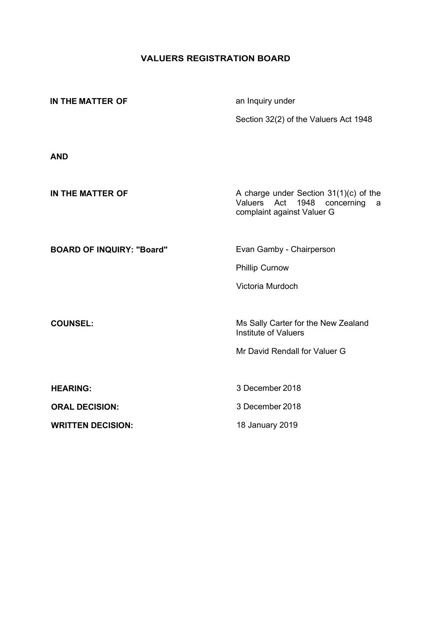# **VALUERS REGISTRATION BOARD**

| IN THE MATTER OF                 | an Inquiry under                                                                                                    |  |  |
|----------------------------------|---------------------------------------------------------------------------------------------------------------------|--|--|
|                                  | Section 32(2) of the Valuers Act 1948                                                                               |  |  |
|                                  |                                                                                                                     |  |  |
| <b>AND</b>                       |                                                                                                                     |  |  |
| IN THE MATTER OF                 | A charge under Section $31(1)(c)$ of the<br>Valuers<br>Act<br>1948<br>concerning<br>a<br>complaint against Valuer G |  |  |
| <b>BOARD OF INQUIRY: "Board"</b> | Evan Gamby - Chairperson                                                                                            |  |  |
|                                  | <b>Phillip Curnow</b>                                                                                               |  |  |
|                                  | Victoria Murdoch                                                                                                    |  |  |
|                                  |                                                                                                                     |  |  |
| <b>COUNSEL:</b>                  | Ms Sally Carter for the New Zealand<br><b>Institute of Valuers</b>                                                  |  |  |
|                                  | Mr David Rendall for Valuer G                                                                                       |  |  |
|                                  |                                                                                                                     |  |  |
| <b>HEARING:</b>                  | 3 December 2018                                                                                                     |  |  |
| <b>ORAL DECISION:</b>            | 3 December 2018                                                                                                     |  |  |
| <b>WRITTEN DECISION:</b>         | 18 January 2019                                                                                                     |  |  |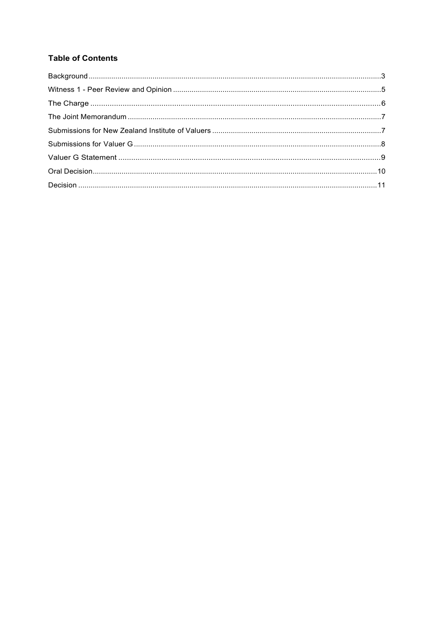# **Table of Contents**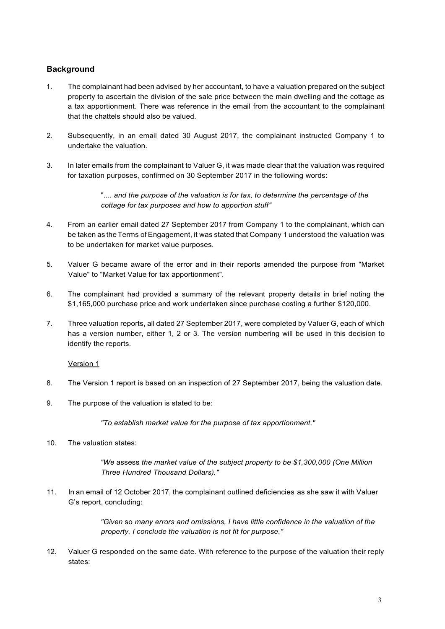# <span id="page-2-0"></span>**Background**

- 1. The complainant had been advised by her accountant, to have a valuation prepared on the subject property to ascertain the division of the sale price between the main dwelling and the cottage as a tax apportionment. There was reference in the email from the accountant to the complainant that the chattels should also be valued.
- 2. Subsequently, in an email dated 30 August 2017, the complainant instructed Company 1 to undertake the valuation.
- 3. In later emails from the complainant to Valuer G, it was made clear that the valuation was required for taxation purposes, confirmed on 30 September 2017 in the following words:

".... and the purpose of the valuation is for tax, to determine the percentage of the *cottage for tax purposes and how to apportion stuff"*

- 4. From an earlier email dated 27 September 2017 from Company 1 to the complainant, which can be taken as the Terms of Engagement, it was stated that Company 1 understood the valuation was to be undertaken for market value purposes.
- 5. Valuer G became aware of the error and in their reports amended the purpose from "Market Value" to "Market Value for tax apportionment".
- 6. The complainant had provided a summary of the relevant property details in brief noting the \$1,165,000 purchase price and work undertaken since purchase costing a further \$120,000.
- 7. Three valuation reports, all dated 27 September 2017, were completed by Valuer G, each of which has a version number, either 1, 2 or 3. The version numbering will be used in this decision to identify the reports.

#### Version 1

- 8. The Version 1 report is based on an inspection of 27 September 2017, being the valuation date.
- 9. The purpose of the valuation is stated to be:

*"To establish market value for the purpose of tax apportionment."*

10. The valuation states:

*"We* assess *the market value of the subject property to be \$1,300,000 (One Million Three Hundred Thousand Dollars)."*

11. In an email of 12 October 2017, the complainant outlined deficiencies as she saw it with Valuer G's report, concluding:

> *"Given* so *many errors and omissions, I have little confidence in the valuation of the property. I conclude the valuation is not fit for purpose."*

12. Valuer G responded on the same date. With reference to the purpose of the valuation their reply states: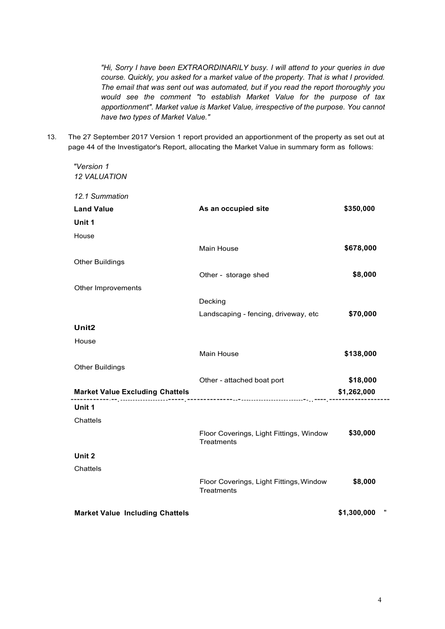*"Hi, Sorry I have been EXTRAORDINARILY busy. I will attend to your queries in due course. Quickly, you asked for* a *market value of the property. That is what I provided. The email that was sent out was automated, but if you read the report thoroughly you would see the comment "to establish Market Value for the purpose of tax apportionment". Market value is Market Value, irrespective of the purpose. You cannot have two types of Market Value."*

13. The 27 September 2017 Version 1 report provided an apportionment of the property as set out at page 44 of the Investigator's Report, allocating the Market Value in summary form as follows:

*"Version 1*

| <b>12 VALUATION</b>                    |                                                              |                  |
|----------------------------------------|--------------------------------------------------------------|------------------|
| 12.1 Summation                         |                                                              |                  |
| <b>Land Value</b>                      | As an occupied site                                          | \$350,000        |
| Unit 1                                 |                                                              |                  |
| House                                  |                                                              |                  |
|                                        | Main House                                                   | \$678,000        |
| <b>Other Buildings</b>                 |                                                              |                  |
|                                        | Other - storage shed                                         | \$8,000          |
| Other Improvements                     |                                                              |                  |
|                                        | Decking                                                      |                  |
|                                        | Landscaping - fencing, driveway, etc                         | \$70,000         |
| Unit <sub>2</sub>                      |                                                              |                  |
| House                                  |                                                              |                  |
|                                        | Main House                                                   | \$138,000        |
| <b>Other Buildings</b>                 |                                                              |                  |
|                                        | Other - attached boat port                                   | \$18,000         |
|                                        |                                                              | \$1,262,000      |
| Unit 1                                 |                                                              |                  |
| Chattels                               |                                                              |                  |
|                                        | Floor Coverings, Light Fittings, Window<br>Treatments        | \$30,000         |
| Unit 2                                 |                                                              |                  |
| Chattels                               |                                                              |                  |
|                                        | Floor Coverings, Light Fittings, Window<br><b>Treatments</b> | \$8,000          |
| <b>Market Value Including Chattels</b> |                                                              | π<br>\$1,300,000 |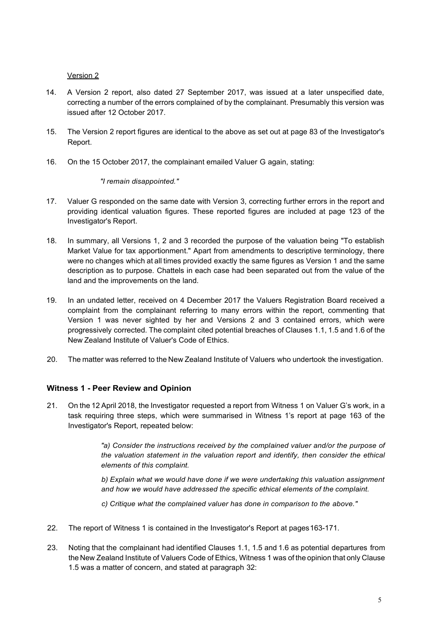Version 2

- 14. A Version 2 report, also dated 27 September 2017, was issued at a later unspecified date, correcting a number of the errors complained of by the complainant. Presumably this version was issued after 12 October 2017.
- 15. The Version 2 report figures are identical to the above as set out at page 83 of the Investigator's Report.
- 16. On the 15 October 2017, the complainant emailed Valuer G again, stating:

## *"I remain disappointed."*

- 17. Valuer G responded on the same date with Version 3, correcting further errors in the report and providing identical valuation figures. These reported figures are included at page 123 of the Investigator's Report.
- 18. In summary, all Versions 1, 2 and 3 recorded the purpose of the valuation being "To establish Market Value for tax apportionment." Apart from amendments to descriptive terminology, there were no changes which at all times provided exactly the same figures as Version 1 and the same description as to purpose. Chattels in each case had been separated out from the value of the land and the improvements on the land.
- 19. In an undated letter, received on 4 December 2017 the Valuers Registration Board received a complaint from the complainant referring to many errors within the report, commenting that Version 1 was never sighted by her and Versions 2 and 3 contained errors, which were progressively corrected. The complaint cited potential breaches of Clauses 1.1, 1.5 and 1.6 of the New Zealand Institute of Valuer's Code of Ethics.
- 20. The matter was referred to the New Zealand Institute of Valuers who undertook the investigation.

# <span id="page-4-0"></span>**Witness 1 - Peer Review and Opinion**

21. On the 12 April 2018, the Investigator requested a report from Witness 1 on Valuer G's work, in a task requiring three steps, which were summarised in Witness 1's report at page 163 of the Investigator's Report, repeated below:

> *"a) Consider the instructions received by the complained valuer and/or the purpose of the valuation statement in the valuation report and identify, then consider the ethical elements of this complaint.*

> *b) Explain what we would have done if we were undertaking this valuation assignment and how we would have addressed the specific ethical elements of the complaint.*

*c) Critique what the complained valuer has done in comparison to the above."*

- 22. The report of Witness 1 is contained in the Investigator's Report at pages163-171.
- 23. Noting that the complainant had identified Clauses 1.1, 1.5 and 1.6 as potential departures from the New Zealand Institute of Valuers Code of Ethics, Witness 1 was of the opinion that only Clause 1.5 was a matter of concern, and stated at paragraph 32: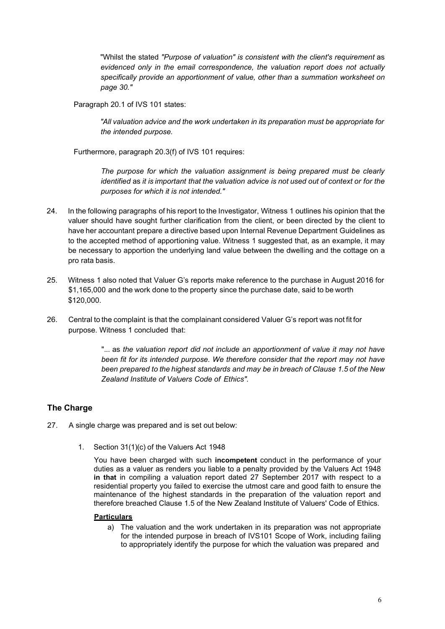"Whilst the stated *"Purpose of valuation" is consistent with the client's requirement* as *evidenced only in the email correspondence, the valuation report does not actually specifically provide an apportionment of value, other than* a *summation worksheet on page 30."*

Paragraph 20.1 of IVS 101 states:

*"All valuation advice and the work undertaken in its preparation must be appropriate for the intended purpose.*

Furthermore, paragraph 20.3(f) of IVS 101 requires:

*The purpose for which the valuation assignment is being prepared must be clearly identified* as *it is important that the valuation advice is not used out of context or for the purposes for which it is not intended."*

- 24. In the following paragraphs of his report to the Investigator, Witness 1 outlines his opinion that the valuer should have sought further clarification from the client, or been directed by the client to have her accountant prepare a directive based upon Internal Revenue Department Guidelines as to the accepted method of apportioning value. Witness 1 suggested that, as an example, it may be necessary to apportion the underlying land value between the dwelling and the cottage on a pro rata basis.
- 25. Witness 1 also noted that Valuer G's reports make reference to the purchase in August 2016 for \$1,165,000 and the work done to the property since the purchase date, said to be worth \$120,000.
- 26. Central to the complaint is that the complainant considered Valuer G's report was not fit for purpose. Witness 1 concluded that:

"... as *the valuation report did not include an apportionment of value it may not have been fit for its intended purpose. We therefore consider that the report may not have been prepared to the highest standards and may be in breach of Clause 1.5 of the New Zealand Institute of Valuers Code of Ethics".*

# <span id="page-5-0"></span>**The Charge**

- 27. A single charge was prepared and is set out below:
	- 1. Section 31(1)(c) of the Valuers Act 1948

You have been charged with such **incompetent** conduct in the performance of your duties as a valuer as renders you liable to a penalty provided by the Valuers Act 1948 **in that** in compiling a valuation report dated 27 September 2017 with respect to a residential property you failed to exercise the utmost care and good faith to ensure the maintenance of the highest standards in the preparation of the valuation report and therefore breached Clause 1.5 of the New Zealand Institute of Valuers' Code of Ethics.

#### **Particulars**

a) The valuation and the work undertaken in its preparation was not appropriate for the intended purpose in breach of IVS101 Scope of Work, including failing to appropriately identify the purpose for which the valuation was prepared and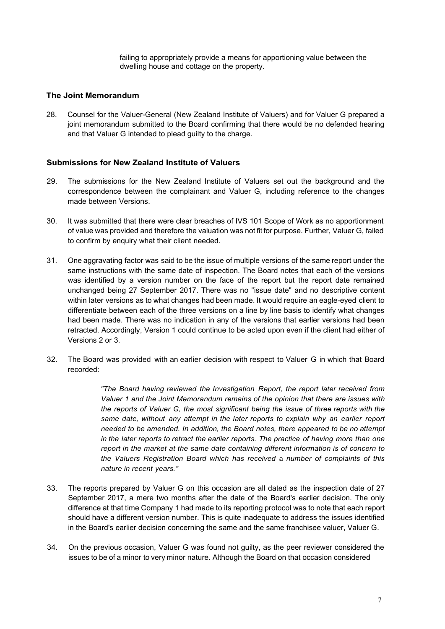failing to appropriately provide a means for apportioning value between the dwelling house and cottage on the property.

### <span id="page-6-0"></span>**The Joint Memorandum**

28. Counsel for the Valuer-General (New Zealand Institute of Valuers) and for Valuer G prepared a joint memorandum submitted to the Board confirming that there would be no defended hearing and that Valuer G intended to plead guilty to the charge.

## <span id="page-6-1"></span>**Submissions for New Zealand Institute of Valuers**

- 29. The submissions for the New Zealand Institute of Valuers set out the background and the correspondence between the complainant and Valuer G, including reference to the changes made between Versions.
- 30. It was submitted that there were clear breaches of IVS 101 Scope of Work as no apportionment of value was provided and therefore the valuation was not fit for purpose. Further, Valuer G, failed to confirm by enquiry what their client needed.
- 31. One aggravating factor was said to be the issue of multiple versions of the same report under the same instructions with the same date of inspection. The Board notes that each of the versions was identified by a version number on the face of the report but the report date remained unchanged being 27 September 2017. There was no "issue date" and no descriptive content within later versions as to what changes had been made. It would require an eagle-eyed client to differentiate between each of the three versions on a line by line basis to identify what changes had been made. There was no indication in any of the versions that earlier versions had been retracted. Accordingly, Version 1 could continue to be acted upon even if the client had either of Versions 2 or 3.
- 32. The Board was provided with an earlier decision with respect to Valuer G in which that Board recorded:

*"The Board having reviewed the Investigation Report, the report later received from Valuer 1 and the Joint Memorandum remains of the opinion that there are issues with the reports of Valuer G, the most significant being the issue of three reports with the same date, without any attempt in the later reports to explain why an earlier report needed to be amended. In addition, the Board notes, there appeared to be no attempt in the later reports to retract the earlier reports. The practice of having more than one report in the market at the same date containing different information is of concern to the Valuers Registration Board which has received* a *number of complaints of this nature in recent years."*

- 33. The reports prepared by Valuer G on this occasion are all dated as the inspection date of 27 September 2017, a mere two months after the date of the Board's earlier decision. The only difference at that time Company 1 had made to its reporting protocol was to note that each report should have a different version number. This is quite inadequate to address the issues identified in the Board's earlier decision concerning the same and the same franchisee valuer, Valuer G.
- 34. On the previous occasion, Valuer G was found not guilty, as the peer reviewer considered the issues to be of a minor to very minor nature. Although the Board on that occasion considered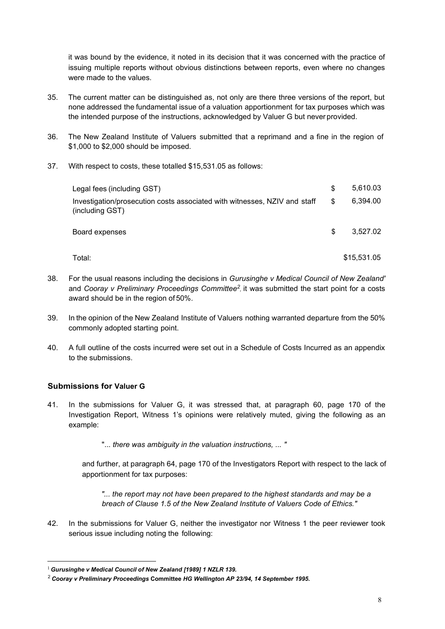it was bound by the evidence, it noted in its decision that it was concerned with the practice of issuing multiple reports without obvious distinctions between reports, even where no changes were made to the values.

- 35. The current matter can be distinguished as, not only are there three versions of the report, but none addressed the fundamental issue of a valuation apportionment for tax purposes which was the intended purpose of the instructions, acknowledged by Valuer G but never provided.
- 36. The New Zealand Institute of Valuers submitted that a reprimand and a fine in the region of \$1,000 to \$2,000 should be imposed.
- 37. With respect to costs, these totalled \$15,531.05 as follows:

| Legal fees (including GST)                                                                   | S  | 5,610.03    |
|----------------------------------------------------------------------------------------------|----|-------------|
| Investigation/prosecution costs associated with witnesses, NZIV and staff<br>(including GST) | \$ | 6.394.00    |
| Board expenses                                                                               | S  | 3.527.02    |
| Total:                                                                                       |    | \$15,531.05 |

- 38. For the usual reasons including the decisions in *Gurusinghe v Medical Council of New Zealand'*  and *Cooray v Preliminary Proceedings Committee<sup>2</sup>*, it was submitted the start point for a costs award should be in the region of 50%.
- 39. In the opinion of the New Zealand Institute of Valuers nothing warranted departure from the 50% commonly adopted starting point.
- 40. A full outline of the costs incurred were set out in a Schedule of Costs Incurred as an appendix to the submissions.

# <span id="page-7-0"></span>**Submissions for Valuer G**

- 41. In the submissions for Valuer G, it was stressed that, at paragraph 60, page 170 of the Investigation Report, Witness 1's opinions were relatively muted, giving the following as an example:
	- "... *there was ambiguity in the valuation instructions, ... "*

and further, at paragraph 64, page 170 of the Investigators Report with respect to the lack of apportionment for tax purposes:

*"... the report may not have been prepared to the highest standards and may be a breach of Clause 1.5 of the New Zealand Institute of Valuers Code of Ethics."*

42. In the submissions for Valuer G, neither the investigator nor Witness 1 the peer reviewer took serious issue including noting the following:

<sup>1</sup>*Gurusinghe v Medical Council of New Zealand [1989] 1 NZLR 139.*

<sup>2</sup>*Cooray v Preliminary Proceedings* **Committee** *HG Wellington AP 23/94, 14 September 1995.*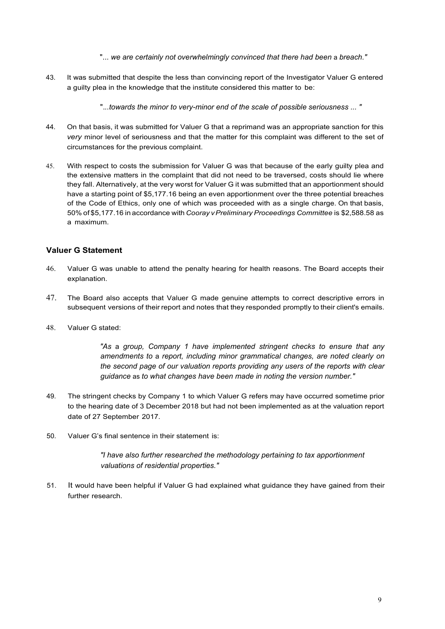"... we are certainly not overwhelmingly convinced that there had been a breach."

43. It was submitted that despite the less than convincing report of the Investigator Valuer G entered a guilty plea in the knowledge that the institute considered this matter to be:

".*..towards the minor to very-minor end of the scale of possible seriousness ... "*

- 44. On that basis, it was submitted for Valuer G that a reprimand was an appropriate sanction for this *very* minor level of seriousness and that the matter for this complaint was different to the set of circumstances for the previous complaint.
- 45. With respect to costs the submission for Valuer G was that because of the early guilty plea and the extensive matters in the complaint that did not need to be traversed, costs should lie where they fall. Alternatively, at the very worst for Valuer G it was submitted that an apportionment should have a starting point of \$5,177.16 being an even apportionment over the three potential breaches of the Code of Ethics, only one of which was proceeded with as a single charge. On that basis, 50% of \$5,177.16 in accordance with *Cooray vPreliminary Proceedings Committee* is \$2,588.58 as a maximum.

## **Valuer G Statement**

- 46. Valuer G was unable to attend the penalty hearing for health reasons. The Board accepts their explanation.
- 47. The Board also accepts that Valuer G made genuine attempts to correct descriptive errors in subsequent versions of their report and notes that they responded promptly to their client's emails.
- 48. Valuer G stated:

*"As* a *group, Company 1 have implemented stringent checks to ensure that any amendments to* a *report, including minor grammatical changes, are noted clearly on the second page of our valuation reports providing any users of the reports with clear guidance* as *to what changes have been made in noting the version number."*

- 49. The stringent checks by Company 1 to which Valuer G refers may have occurred sometime prior to the hearing date of 3 December 2018 but had not been implemented as at the valuation report date of 27 September 2017.
- 50. Valuer G's final sentence in their statement is:

*"I have also further researched the methodology pertaining to tax apportionment valuations of residential properties."*

51. It would have been helpful if Valuer G had explained what guidance they have gained from their further research.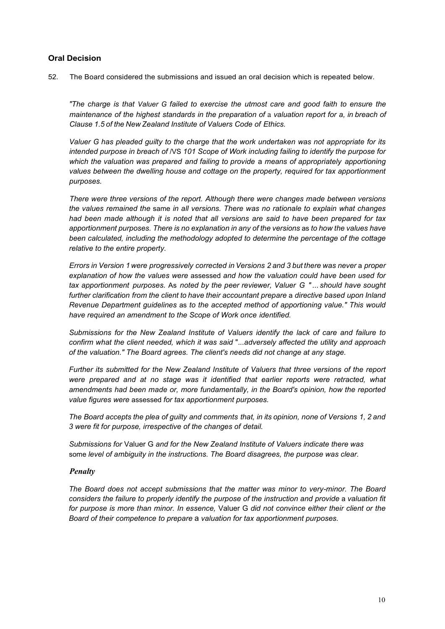## <span id="page-9-0"></span>**Oral Decision**

52. The Board considered the submissions and issued an oral decision which is repeated below.

*"The charge is that Valuer G failed to exercise the utmost care and good faith to ensure the maintenance of the highest standards in the preparation of* a *valuation report for a, in breach of Clause 1.5 of the New Zealand Institute of Valuers Code of Ethics.*

*Valuer G has pleaded guilty to the charge that the work undertaken was not appropriate for its intended purpose in breach of* /VS *101 Scope of Work including failing to identify the purpose for which the valuation was prepared and failing to provide* a *means of appropriately apportioning values between the dwelling house and cottage on the property, required for tax apportionment purposes.*

*There were three versions of the report. Although there were changes made between versions the values remained the* same *in all versions. There was no rationale to explain what changes had been made although it is noted that all versions are said to have been prepared for tax apportionment purposes. There is no explanation in any of the versions* as *to how the values have been calculated, including the methodology adopted to determine the percentage of the cottage relative to the entire property.*

*Errors in Version 1 were progressively corrected in Versions 2 and 3 but there was never* a *proper explanation of how the values were* assessed *and how the valuation could have been used for tax apportionment purposes.* As *noted by the peer reviewer, Valuer G " ... should have sought further clarification from the client to have their accountant prepare* a *directive based upon Inland Revenue Department guidelines* as *to the accepted method of apportioning value." This would have required an amendment to the Scope of Work once identified.*

*Submissions for the New Zealand Institute of Valuers identify the lack of care and failure to confirm what the client needed, which it was said* ".*..adversely affected the utility and approach of the valuation." The Board agrees. The client's needs did not change at any stage.*

*Further its submitted for the New Zealand Institute of Valuers that three versions of the report were prepared and at no stage was it identified that earlier reports were retracted, what amendments had been made or, more fundamentally, in the Board's opinion, how the reported value figures were* assessed *for tax apportionment purposes.*

*The Board accepts the plea of guilty and comments that, in its opinion, none of Versions 1, 2 and 3 were fit for purpose, irrespective of the changes of detail.*

*Submissions for* Valuer G *and for the New Zealand Institute of Valuers indicate there was* some *level of ambiguity in the instructions. The Board disagrees, the purpose was clear.*

#### *Penalty*

*The Board does not accept submissions that the matter was minor to very-minor. The Board considers the failure to properly identify the purpose of the instruction and provide a valuation fit for purpose is more than minor. In essence,* Valuer G *did not convince either their client or the Board of their competence to prepare* a *valuation for tax apportionment purposes.*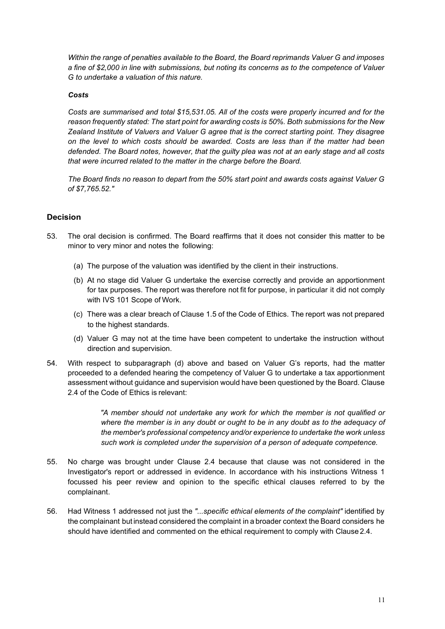*Within the range of penalties available to the Board, the Board reprimands Valuer G and imposes a fine of \$2,000 in line with submissions, but noting its concerns as to the competence of Valuer G to undertake a valuation of this nature.*

#### *Costs*

*Costs are summarised and total \$15,531.05. All of the costs were properly incurred and for the reason frequently stated: The start point for awarding costs is 50%. Both submissions for the New Zealand Institute of Valuers and Valuer G agree that is the correct starting point. They disagree on the level to which costs should be awarded. Costs are less than if the matter had been defended. The Board notes, however, that the guilty plea was not at an early stage and all costs that were incurred related to the matter in the charge before the Board.*

*The Board finds no reason to depart from the 50% start point and awards costs against Valuer G of \$7,765.52."*

#### <span id="page-10-0"></span>**Decision**

- 53. The oral decision is confirmed. The Board reaffirms that it does not consider this matter to be minor to very minor and notes the following:
	- (a) The purpose of the valuation was identified by the client in their instructions.
	- (b) At no stage did Valuer G undertake the exercise correctly and provide an apportionment for tax purposes. The report was therefore not fit for purpose, in particular it did not comply with IVS 101 Scope of Work.
	- (c) There was a clear breach of Clause 1.5 of the Code of Ethics. The report was not prepared to the highest standards.
	- (d) Valuer G may not at the time have been competent to undertake the instruction without direction and supervision.
- 54. With respect to subparagraph (d) above and based on Valuer G's reports, had the matter proceeded to a defended hearing the competency of Valuer G to undertake a tax apportionment assessment without guidance and supervision would have been questioned by the Board. Clause 2.4 of the Code of Ethics is relevant:

*"A member should not undertake any work for which the member is not qualified or where the member is in any doubt or ought to be in any doubt as to the adequacy of the member's professional competency and/or experience to undertake the work unless such work is completed under the supervision of a person of adequate competence.*

- 55. No charge was brought under Clause 2.4 because that clause was not considered in the Investigator's report or addressed in evidence. In accordance with his instructions Witness 1 focussed his peer review and opinion to the specific ethical clauses referred to by the complainant.
- 56. Had Witness 1 addressed not just the *"...specific ethical elements of the complaint"* identified by the complainant but instead considered the complaint in a broader context the Board considers he should have identified and commented on the ethical requirement to comply with Clause 2.4.